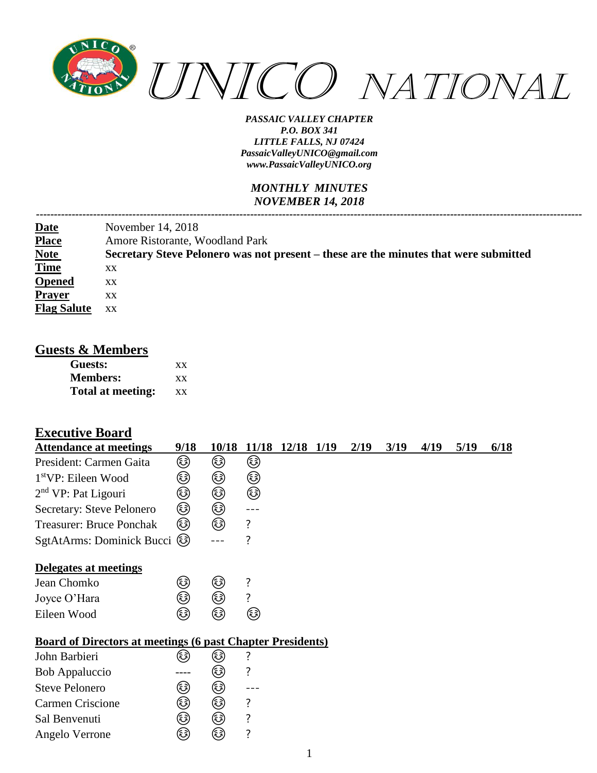

### *MONTHLY MINUTES NOVEMBER 14, 2018*

|                    | November 14, 2018                                                                    |
|--------------------|--------------------------------------------------------------------------------------|
| Date<br>Place      | Amore Ristorante, Woodland Park                                                      |
| <b>Note</b>        | Secretary Steve Pelonero was not present – these are the minutes that were submitted |
| <b>Time</b>        | XX                                                                                   |
| <b>Opened</b>      | XX                                                                                   |
| <b>Prayer</b>      | XX                                                                                   |
| <b>Flag Salute</b> | XX                                                                                   |

### **Guests & Members**

| Guests:           | xх        |
|-------------------|-----------|
| <b>Members:</b>   | XX        |
| Total at meeting: | <b>XX</b> |

# **Executive Board**

| <b>Attendance at meetings</b>                                     | 9/18     | 10/18 |   | 11/18 12/18 1/19 | 2/19 | 3/19 | 4/19 | 5/19 | 6/18 |
|-------------------------------------------------------------------|----------|-------|---|------------------|------|------|------|------|------|
| President: Carmen Gaita                                           | ☺        | ٨     | ٨ |                  |      |      |      |      |      |
| 1 <sup>st</sup> VP: Eileen Wood                                   | ☺        | ☺     | ☺ |                  |      |      |      |      |      |
| $2nd$ VP: Pat Ligouri                                             | ☺        | ☺     | ☺ |                  |      |      |      |      |      |
| Secretary: Steve Pelonero                                         | ☺        | ☺     |   |                  |      |      |      |      |      |
| <b>Treasurer: Bruce Ponchak</b>                                   | ☺        | ☞     | ? |                  |      |      |      |      |      |
| SgtAtArms: Dominick Bucci                                         | (رَهْجَ) |       | ? |                  |      |      |      |      |      |
| Delegates at meetings                                             |          |       |   |                  |      |      |      |      |      |
| Jean Chomko                                                       | ☺        | ☺     | ? |                  |      |      |      |      |      |
| Joyce O'Hara                                                      | ٨        | ٨     | ? |                  |      |      |      |      |      |
| Eileen Wood                                                       | (هَءَ)   | ٨     | ☺ |                  |      |      |      |      |      |
| <b>Board of Directors at meetings (6 past Chapter Presidents)</b> |          |       |   |                  |      |      |      |      |      |
| John Barbieri                                                     | (3)      | کا    | ? |                  |      |      |      |      |      |
| Bob Appaluccio                                                    |          | ٨     | ? |                  |      |      |      |      |      |
| <b>Steve Pelonero</b>                                             | ☺        | ☺     |   |                  |      |      |      |      |      |
| <b>Carmen Criscione</b>                                           | ☺        | ٨     | ? |                  |      |      |      |      |      |
| Sal Benvenuti                                                     | کا       | ٨     | ? |                  |      |      |      |      |      |
| Angelo Verrone                                                    | ٨        | ٨     | ? |                  |      |      |      |      |      |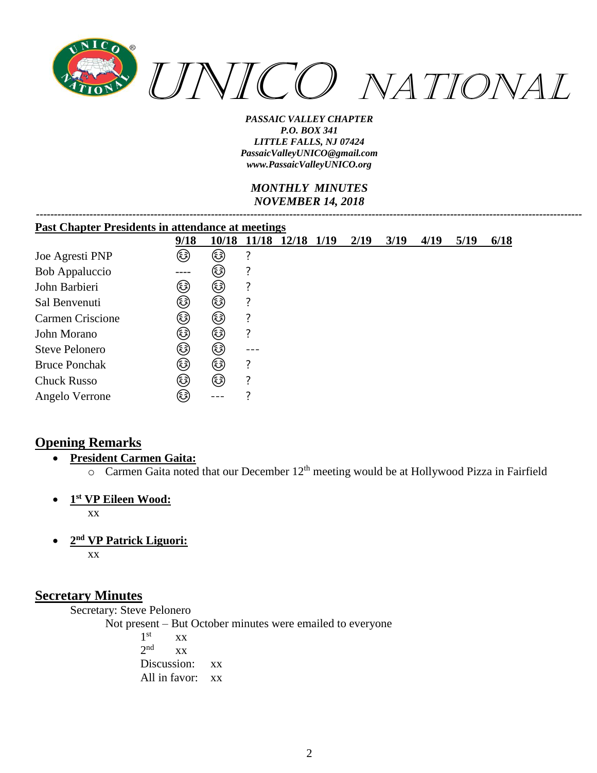

### *MONTHLY MINUTES NOVEMBER 14, 2018*

| <b>Past Chapter Presidents in attendance at meetings</b> |        |      |  |                        |  |      |      |      |      |      |
|----------------------------------------------------------|--------|------|--|------------------------|--|------|------|------|------|------|
|                                                          | 9/18   |      |  | 10/18 11/18 12/18 1/19 |  | 2/19 | 3/19 | 4/19 | 5/19 | 6/18 |
| Joe Agresti PNP                                          | ٨      | ٨    |  |                        |  |      |      |      |      |      |
| <b>Bob Appaluccio</b>                                    | ----   | (3)  |  |                        |  |      |      |      |      |      |
| John Barbieri                                            | کی     | ٨    |  |                        |  |      |      |      |      |      |
| Sal Benvenuti                                            | کی     | ٨    |  |                        |  |      |      |      |      |      |
| Carmen Criscione                                         | کی     | کی   |  |                        |  |      |      |      |      |      |
| John Morano                                              | کی     | کی   |  |                        |  |      |      |      |      |      |
| <b>Steve Pelonero</b>                                    | (هَ)   | کی   |  |                        |  |      |      |      |      |      |
| <b>Bruce Ponchak</b>                                     | کی     | ٨    |  |                        |  |      |      |      |      |      |
| <b>Chuck Russo</b>                                       | (هَءَ) | (هَ) |  |                        |  |      |      |      |      |      |
| Angelo Verrone                                           | کی     |      |  |                        |  |      |      |      |      |      |

## **Opening Remarks**

- **President Carmen Gaita:**
	- $\circ$  Carmen Gaita noted that our December 12<sup>th</sup> meeting would be at Hollywood Pizza in Fairfield
- **1 st VP Eileen Wood:**

xx

• **2 nd VP Patrick Liguori:** xx

### **Secretary Minutes**

Secretary: Steve Pelonero

Not present – But October minutes were emailed to everyone

 $1<sup>st</sup>$  $XX$  $2<sub>nd</sub>$  $\overline{X}X$ Discussion: xx All in favor: xx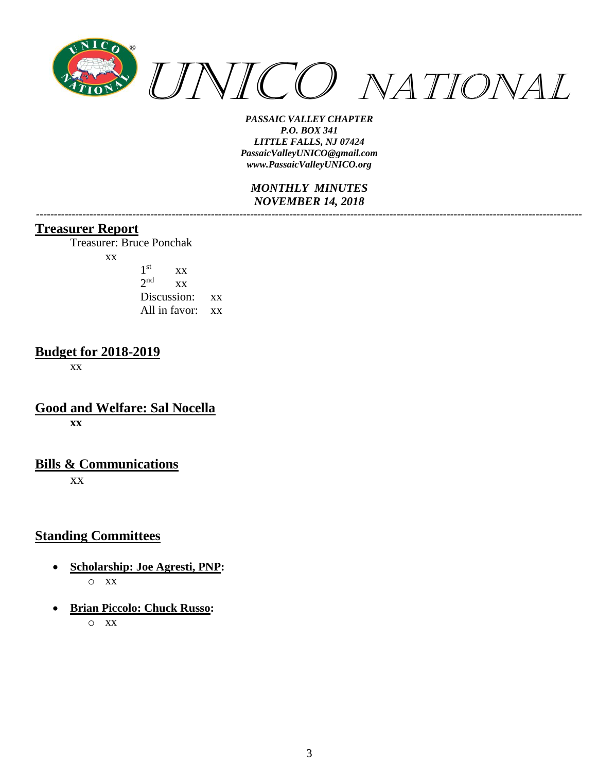

*MONTHLY MINUTES NOVEMBER 14, 2018 ---------------------------------------------------------------------------------------------------------------------------------------------------------*

### **Treasurer Report**

Treasurer: Bruce Ponchak

xx

| 1 <sup>st</sup> | <b>XX</b>        |    |
|-----------------|------------------|----|
| $2n$ d          | XX               |    |
| Discussion:     |                  | XX |
|                 | All in favor: xx |    |

## **Budget for 2018-2019**

xx

**Good and Welfare: Sal Nocella xx**

## **Bills & Communications**

xx

## **Standing Committees**

- **Scholarship: Joe Agresti, PNP:** o xx
- **Brian Piccolo: Chuck Russo:**

o xx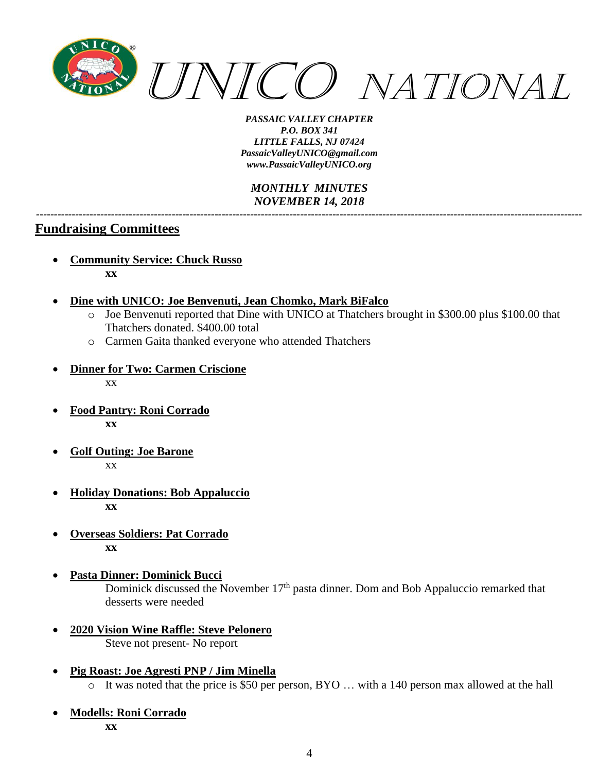

#### *MONTHLY MINUTES NOVEMBER 14, 2018 ---------------------------------------------------------------------------------------------------------------------------------------------------------*

### **Fundraising Committees**

- **Community Service: Chuck Russo xx**
- **Dine with UNICO: Joe Benvenuti, Jean Chomko, Mark BiFalco**
	- o Joe Benvenuti reported that Dine with UNICO at Thatchers brought in \$300.00 plus \$100.00 that Thatchers donated. \$400.00 total
	- o Carmen Gaita thanked everyone who attended Thatchers
- **Dinner for Two: Carmen Criscione** xx
- **Food Pantry: Roni Corrado xx**
- **Golf Outing: Joe Barone** xx
- **Holiday Donations: Bob Appaluccio xx**
- **Overseas Soldiers: Pat Corrado xx**
- **Pasta Dinner: Dominick Bucci** Dominick discussed the November 17<sup>th</sup> pasta dinner. Dom and Bob Appaluccio remarked that desserts were needed
- **2020 Vision Wine Raffle: Steve Pelonero** Steve not present- No report
- **Pig Roast: Joe Agresti PNP / Jim Minella** o It was noted that the price is \$50 per person, BYO … with a 140 person max allowed at the hall
- **Modells: Roni Corrado xx**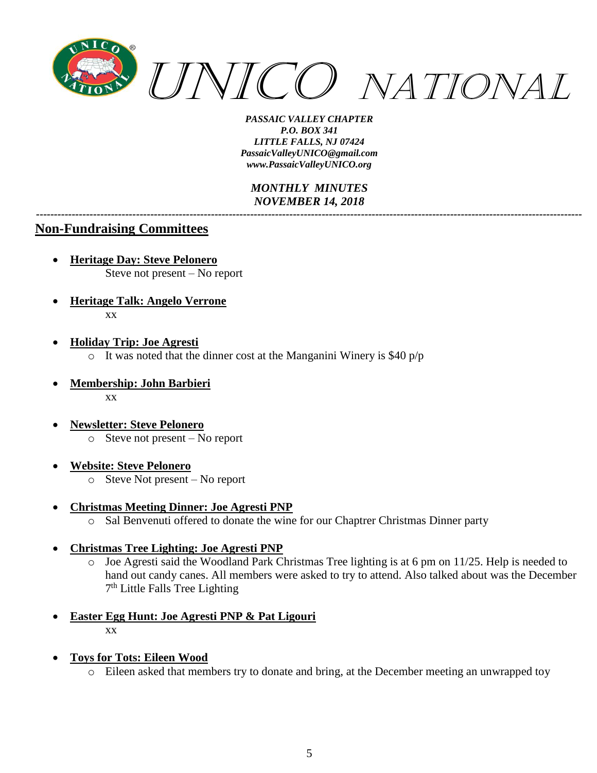

*MONTHLY MINUTES NOVEMBER 14, 2018*

*---------------------------------------------------------------------------------------------------------------------------------------------------------*

### **Non-Fundraising Committees**

- **Heritage Day: Steve Pelonero** Steve not present – No report
- **Heritage Talk: Angelo Verrone** xx
- **Holiday Trip: Joe Agresti**  $\circ$  It was noted that the dinner cost at the Manganini Winery is \$40 p/p
- **Membership: John Barbieri** xx
- **Newsletter: Steve Pelonero**  $\circ$  Steve not present – No report
- **Website: Steve Pelonero**
	- o Steve Not present No report
- **Christmas Meeting Dinner: Joe Agresti PNP**
	- o Sal Benvenuti offered to donate the wine for our Chaptrer Christmas Dinner party
- **Christmas Tree Lighting: Joe Agresti PNP**
	- o Joe Agresti said the Woodland Park Christmas Tree lighting is at 6 pm on 11/25. Help is needed to hand out candy canes. All members were asked to try to attend. Also talked about was the December 7<sup>th</sup> Little Falls Tree Lighting
- **Easter Egg Hunt: Joe Agresti PNP & Pat Ligouri** xx
- **Toys for Tots: Eileen Wood**
	- o Eileen asked that members try to donate and bring, at the December meeting an unwrapped toy